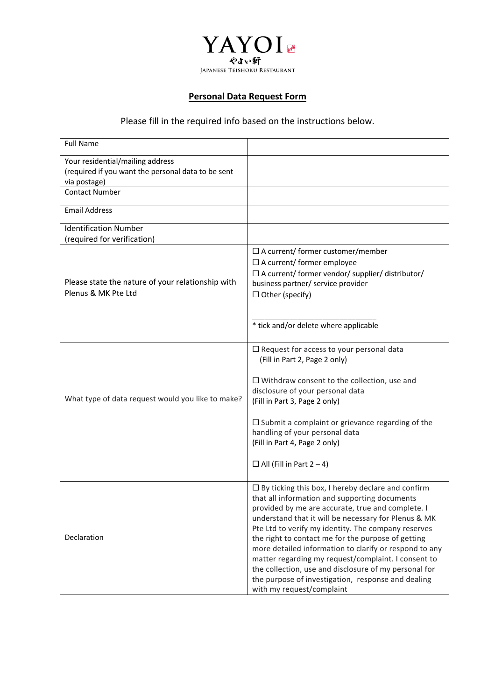

## **Personal Data Request Form**

# Please fill in the required info based on the instructions below.

| <b>Full Name</b>                                                                                       |                                                                                                                                                                                                                                                                                                                                                                                                                                                                                                                                                                                                  |
|--------------------------------------------------------------------------------------------------------|--------------------------------------------------------------------------------------------------------------------------------------------------------------------------------------------------------------------------------------------------------------------------------------------------------------------------------------------------------------------------------------------------------------------------------------------------------------------------------------------------------------------------------------------------------------------------------------------------|
| Your residential/mailing address<br>(required if you want the personal data to be sent<br>via postage) |                                                                                                                                                                                                                                                                                                                                                                                                                                                                                                                                                                                                  |
| <b>Contact Number</b>                                                                                  |                                                                                                                                                                                                                                                                                                                                                                                                                                                                                                                                                                                                  |
| <b>Email Address</b>                                                                                   |                                                                                                                                                                                                                                                                                                                                                                                                                                                                                                                                                                                                  |
| <b>Identification Number</b><br>(required for verification)                                            |                                                                                                                                                                                                                                                                                                                                                                                                                                                                                                                                                                                                  |
| Please state the nature of your relationship with<br>Plenus & MK Pte Ltd                               | $\Box$ A current/ former customer/member<br>$\Box$ A current/ former employee<br>$\Box$ A current/ former vendor/ supplier/ distributor/<br>business partner/ service provider<br>$\Box$ Other (specify)<br>* tick and/or delete where applicable                                                                                                                                                                                                                                                                                                                                                |
| What type of data request would you like to make?                                                      | $\Box$ Request for access to your personal data<br>(Fill in Part 2, Page 2 only)<br>$\Box$ Withdraw consent to the collection, use and<br>disclosure of your personal data<br>(Fill in Part 3, Page 2 only)<br>$\Box$ Submit a complaint or grievance regarding of the<br>handling of your personal data<br>(Fill in Part 4, Page 2 only)<br>$\Box$ All (Fill in Part 2 – 4)                                                                                                                                                                                                                     |
| Declaration                                                                                            | $\Box$ By ticking this box, I hereby declare and confirm<br>that all information and supporting documents<br>provided by me are accurate, true and complete. I<br>understand that it will be necessary for Plenus & MK<br>Pte Ltd to verify my identity. The company reserves<br>the right to contact me for the purpose of getting<br>more detailed information to clarify or respond to any<br>matter regarding my request/complaint. I consent to<br>the collection, use and disclosure of my personal for<br>the purpose of investigation, response and dealing<br>with my request/complaint |